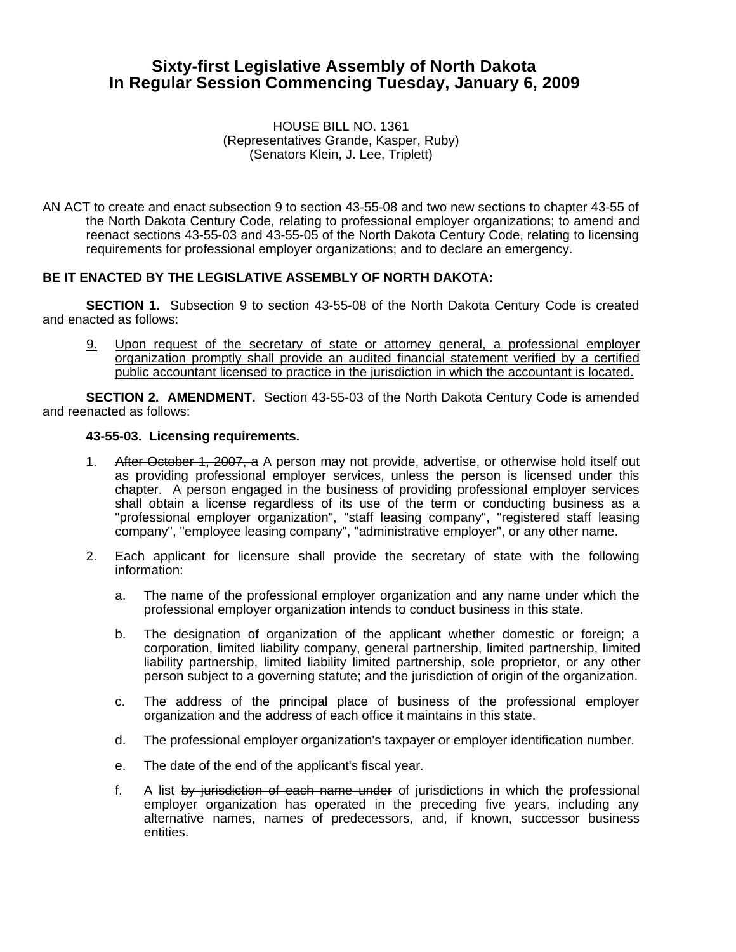# **Sixty-first Legislative Assembly of North Dakota In Regular Session Commencing Tuesday, January 6, 2009**

#### HOUSE BILL NO. 1361 (Representatives Grande, Kasper, Ruby) (Senators Klein, J. Lee, Triplett)

AN ACT to create and enact subsection 9 to section 43-55-08 and two new sections to chapter 43-55 of the North Dakota Century Code, relating to professional employer organizations; to amend and reenact sections 43-55-03 and 43-55-05 of the North Dakota Century Code, relating to licensing requirements for professional employer organizations; and to declare an emergency.

# **BE IT ENACTED BY THE LEGISLATIVE ASSEMBLY OF NORTH DAKOTA:**

**SECTION 1.** Subsection 9 to section 43-55-08 of the North Dakota Century Code is created and enacted as follows:

9. Upon request of the secretary of state or attorney general, a professional employer organization promptly shall provide an audited financial statement verified by a certified public accountant licensed to practice in the jurisdiction in which the accountant is located.

**SECTION 2. AMENDMENT.** Section 43-55-03 of the North Dakota Century Code is amended and reenacted as follows:

#### **43-55-03. Licensing requirements.**

- 1. After October 1, 2007, a A person may not provide, advertise, or otherwise hold itself out as providing professional employer services, unless the person is licensed under this chapter. A person engaged in the business of providing professional employer services shall obtain a license regardless of its use of the term or conducting business as a "professional employer organization", "staff leasing company", "registered staff leasing company", "employee leasing company", "administrative employer", or any other name.
- 2. Each applicant for licensure shall provide the secretary of state with the following information:
	- a. The name of the professional employer organization and any name under which the professional employer organization intends to conduct business in this state.
	- b. The designation of organization of the applicant whether domestic or foreign; a corporation, limited liability company, general partnership, limited partnership, limited liability partnership, limited liability limited partnership, sole proprietor, or any other person subject to a governing statute; and the jurisdiction of origin of the organization.
	- c. The address of the principal place of business of the professional employer organization and the address of each office it maintains in this state.
	- d. The professional employer organization's taxpayer or employer identification number.
	- e. The date of the end of the applicant's fiscal year.
	- f. A list by jurisdiction of each name under of jurisdictions in which the professional employer organization has operated in the preceding five years, including any alternative names, names of predecessors, and, if known, successor business entities.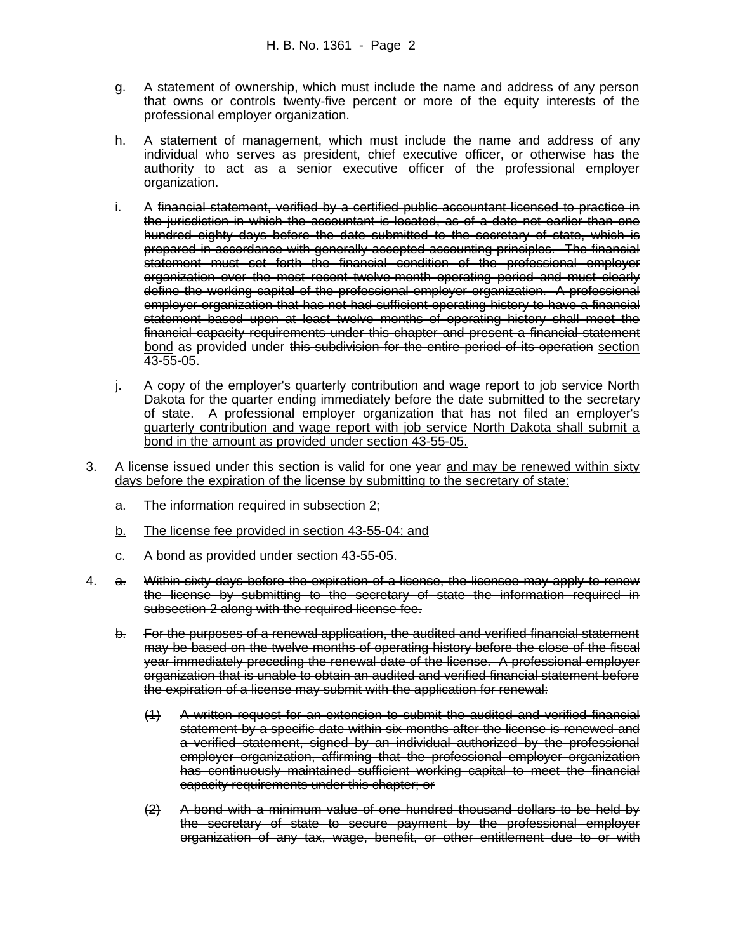- g. A statement of ownership, which must include the name and address of any person that owns or controls twenty-five percent or more of the equity interests of the professional employer organization.
- h. A statement of management, which must include the name and address of any individual who serves as president, chief executive officer, or otherwise has the authority to act as a senior executive officer of the professional employer organization.
- i. A financial statement, verified by a certified public accountant licensed to practice in the jurisdiction in which the accountant is located, as of a date not earlier than one hundred eighty days before the date submitted to the secretary of state, which is prepared in accordance with generally accepted accounting principles. The financial statement must set forth the financial condition of the professional employer organization over the most recent twelve-month operating period and must clearly define the working capital of the professional employer organization. A professional employer organization that has not had sufficient operating history to have a financial statement based upon at least twelve months of operating history shall meet the financial capacity requirements under this chapter and present a financial statement bond as provided under this subdivision for the entire period of its operation section 43-55-05.
- j. A copy of the employer's quarterly contribution and wage report to job service North Dakota for the quarter ending immediately before the date submitted to the secretary of state. A professional employer organization that has not filed an employer's quarterly contribution and wage report with job service North Dakota shall submit a bond in the amount as provided under section 43-55-05.
- 3. A license issued under this section is valid for one year and may be renewed within sixty days before the expiration of the license by submitting to the secretary of state:
	- a. The information required in subsection 2;
	- b. The license fee provided in section 43-55-04; and
	- c. A bond as provided under section 43-55-05.
- 4. a. Within sixty days before the expiration of a license, the licensee may apply to renew the license by submitting to the secretary of state the information required in subsection 2 along with the required license fee.
	- b. For the purposes of a renewal application, the audited and verified financial statement may be based on the twelve months of operating history before the close of the fiscal year immediately preceding the renewal date of the license. A professional employer organization that is unable to obtain an audited and verified financial statement before the expiration of a license may submit with the application for renewal:
		- (1) A written request for an extension to submit the audited and verified financial statement by a specific date within six months after the license is renewed and a verified statement, signed by an individual authorized by the professional employer organization, affirming that the professional employer organization has continuously maintained sufficient working capital to meet the financial capacity requirements under this chapter; or
		- $(2)$  A bond with a minimum value of one hundred thousand dollars to be held by the secretary of state to secure payment by the professional employer organization of any tax, wage, benefit, or other entitlement due to or with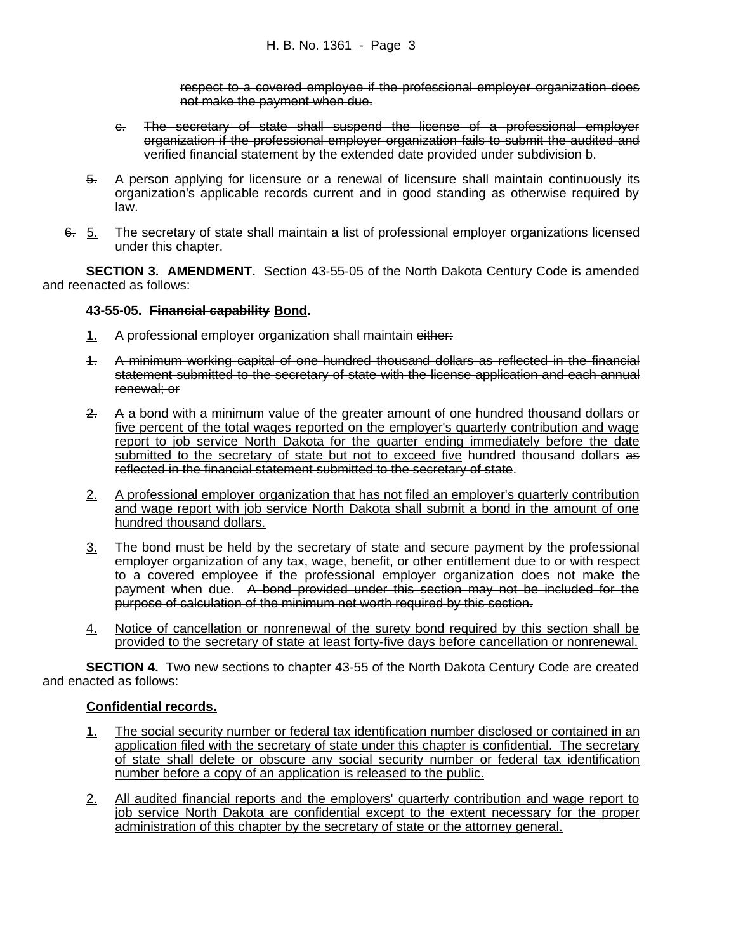respect to a covered employee if the professional employer organization does not make the payment when due.

- c. The secretary of state shall suspend the license of a professional employer organization if the professional employer organization fails to submit the audited and verified financial statement by the extended date provided under subdivision b.
- 5. A person applying for licensure or a renewal of licensure shall maintain continuously its organization's applicable records current and in good standing as otherwise required by law.
- 6. 5. The secretary of state shall maintain a list of professional employer organizations licensed under this chapter.

**SECTION 3. AMENDMENT.** Section 43-55-05 of the North Dakota Century Code is amended and reenacted as follows:

## **43-55-05. Financial capability Bond.**

- 1. A professional employer organization shall maintain either:
- 1. A minimum working capital of one hundred thousand dollars as reflected in the financial statement submitted to the secretary of state with the license application and each annual renewal; or
- 2. A a bond with a minimum value of the greater amount of one hundred thousand dollars or five percent of the total wages reported on the employer's quarterly contribution and wage report to job service North Dakota for the quarter ending immediately before the date submitted to the secretary of state but not to exceed five hundred thousand dollars as reflected in the financial statement submitted to the secretary of state.
- 2. A professional employer organization that has not filed an employer's quarterly contribution and wage report with job service North Dakota shall submit a bond in the amount of one hundred thousand dollars.
- 3. The bond must be held by the secretary of state and secure payment by the professional employer organization of any tax, wage, benefit, or other entitlement due to or with respect to a covered employee if the professional employer organization does not make the payment when due. A bond provided under this section may not be included for the purpose of calculation of the minimum net worth required by this section.
- 4. Notice of cancellation or nonrenewal of the surety bond required by this section shall be provided to the secretary of state at least forty-five days before cancellation or nonrenewal.

**SECTION 4.** Two new sections to chapter 43-55 of the North Dakota Century Code are created and enacted as follows:

## **Confidential records.**

- 1. The social security number or federal tax identification number disclosed or contained in an application filed with the secretary of state under this chapter is confidential. The secretary of state shall delete or obscure any social security number or federal tax identification number before a copy of an application is released to the public.
- 2. All audited financial reports and the employers' quarterly contribution and wage report to job service North Dakota are confidential except to the extent necessary for the proper administration of this chapter by the secretary of state or the attorney general.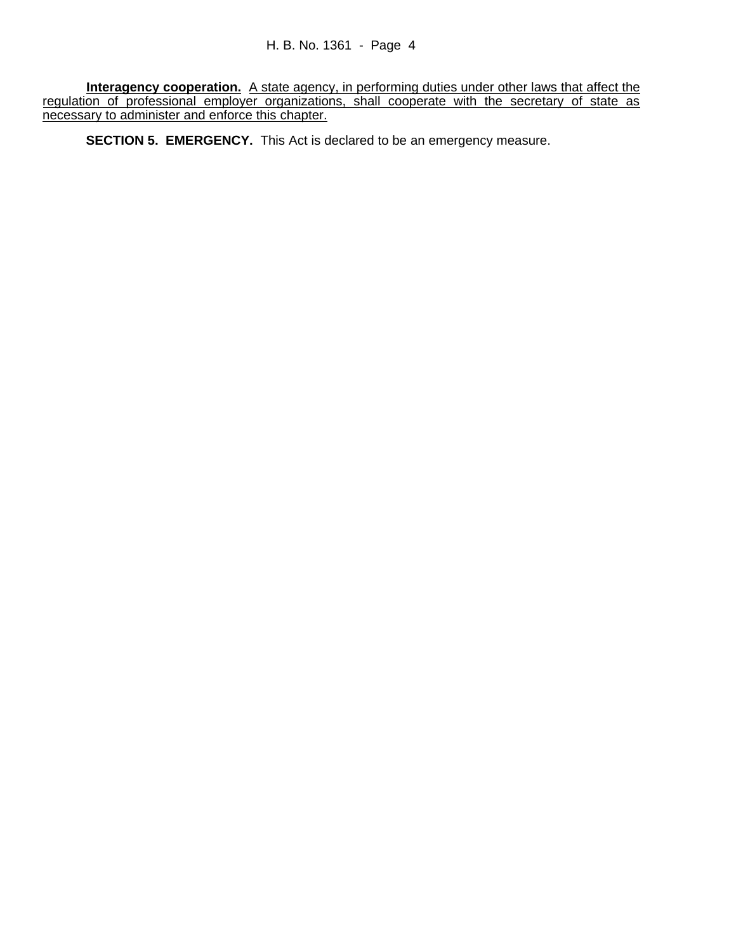**Interagency cooperation.** A state agency, in performing duties under other laws that affect the regulation of professional employer organizations, shall cooperate with the secretary of state as necessary to administer and enforce this chapter.

**SECTION 5. EMERGENCY.** This Act is declared to be an emergency measure.